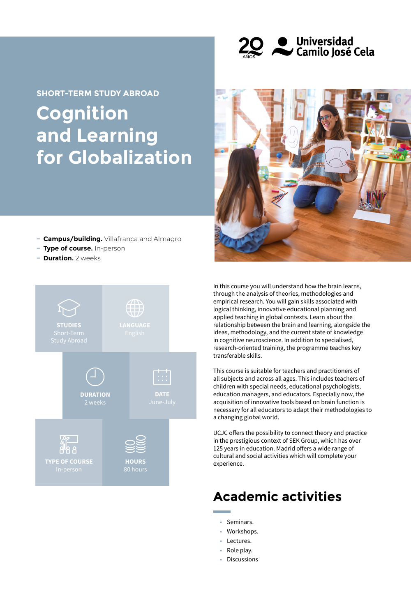

# **Cognition and Learning for Globalization SHORT-TERM STUDY ABROAD**



- **− Campus/building.** Villafranca and Almagro
- **− Type of course.** In-person
- **− Duration.** 2 weeks



In this course you will understand how the brain learns, through the analysis of theories, methodologies and empirical research. You will gain skills associated with logical thinking, innovative educational planning and applied teaching in global contexts. Learn about the relationship between the brain and learning, alongside the ideas, methodology, and the current state of knowledge in cognitive neuroscience. In addition to specialised, research-oriented training, the programme teaches key transferable skills.

This course is suitable for teachers and practitioners of all subjects and across all ages. This includes teachers of children with special needs, educational psychologists, education managers, and educators. Especially now, the acquisition of innovative tools based on brain function is necessary for all educators to adapt their methodologies to a changing global world.

UCJC offers the possibility to connect theory and practice in the prestigious context of SEK Group, which has over 125 years in education. Madrid offers a wide range of cultural and social activities which will complete your experience.

## **Academic activities**

- Seminars.
- Workshops.
- Lectures.
- Role play.
- Discussions